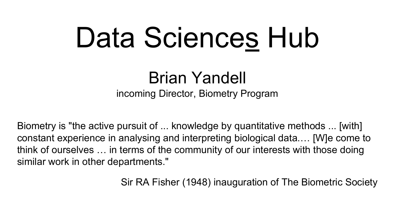# Data Sciences Hub

Brian Yandell incoming Director, Biometry Program

Biometry is "the active pursuit of ... knowledge by quantitative methods ... [with] constant experience in analysing and interpreting biological data.… [W]e come to think of ourselves … in terms of the community of our interests with those doing similar work in other departments."

Sir RA Fisher (1948) inauguration of The Biometric Society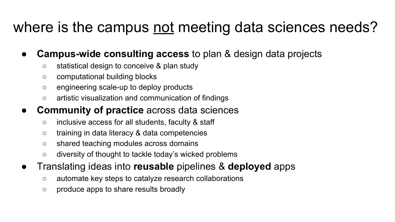### where is the campus not meeting data sciences needs?

- **Campus-wide consulting access to plan & design data projects** 
	- statistical design to conceive & plan study
	- computational building blocks
	- engineering scale-up to deploy products
	- artistic visualization and communication of findings
- **Community of practice** across data sciences
	- inclusive access for all students, faculty & staff
	- training in data literacy & data competencies
	- shared teaching modules across domains
	- diversity of thought to tackle today's wicked problems
- Translating ideas into **reusable** pipelines & **deployed** apps
	- automate key steps to catalyze research collaborations
	- produce apps to share results broadly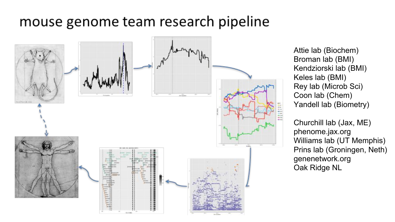#### mouse genome team research pipeline



Attie lab (Biochem) Broman lab (BMI) Kendziorski lab (BMI) Keles lab (BMI) Rey lab (Microb Sci) Coon lab (Chem) Yandell lab (Biometry)

Churchill lab (Jax, ME) phenome.jax.org Williams lab (UT Memphis) Prins lab (Groningen, Neth) genenetwork.org Oak Ridge NL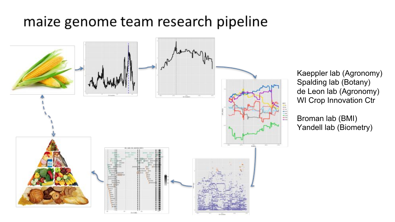#### maize genome team research pipeline



Kaeppler lab (Agronomy) Spalding lab (Botany) de Leon lab (Agronomy) WI Crop Innovation Ctr

Broman lab (BMI) Yandell lab (Biometry)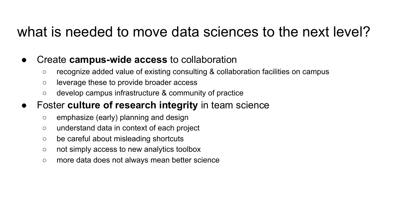#### what is needed to move data sciences to the next level?

- Create **campus-wide access** to collaboration
	- recognize added value of existing consulting & collaboration facilities on campus
	- leverage these to provide broader access
	- develop campus infrastructure & community of practice

#### Foster **culture of research integrity** in team science

- emphasize (early) planning and design
- understand data in context of each project
- be careful about misleading shortcuts
- not simply access to new analytics toolbox
- more data does not always mean better science